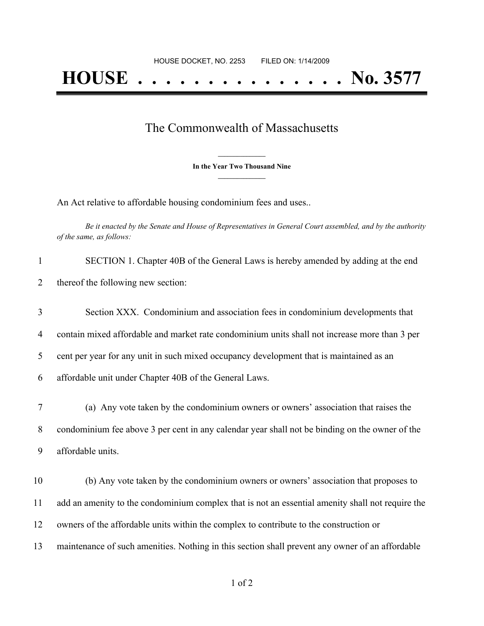## The Commonwealth of Massachusetts

**\_\_\_\_\_\_\_\_\_\_\_\_\_\_\_ In the Year Two Thousand Nine \_\_\_\_\_\_\_\_\_\_\_\_\_\_\_**

An Act relative to affordable housing condominium fees and uses..

Be it enacted by the Senate and House of Representatives in General Court assembled, and by the authority *of the same, as follows:*

| $\mathbf{1}$   | SECTION 1. Chapter 40B of the General Laws is hereby amended by adding at the end                |
|----------------|--------------------------------------------------------------------------------------------------|
| $\overline{2}$ | thereof the following new section:                                                               |
| 3              | Section XXX. Condominium and association fees in condominium developments that                   |
| $\overline{4}$ | contain mixed affordable and market rate condominium units shall not increase more than 3 per    |
| 5              | cent per year for any unit in such mixed occupancy development that is maintained as an          |
| 6              | affordable unit under Chapter 40B of the General Laws.                                           |
| 7              | (a) Any vote taken by the condominium owners or owners' association that raises the              |
| 8              | condominium fee above 3 per cent in any calendar year shall not be binding on the owner of the   |
| 9              | affordable units.                                                                                |
| 10             | (b) Any vote taken by the condominium owners or owners' association that proposes to             |
| 11             | add an amenity to the condominium complex that is not an essential amenity shall not require the |
| 12             | owners of the affordable units within the complex to contribute to the construction or           |
| 13             | maintenance of such amenities. Nothing in this section shall prevent any owner of an affordable  |